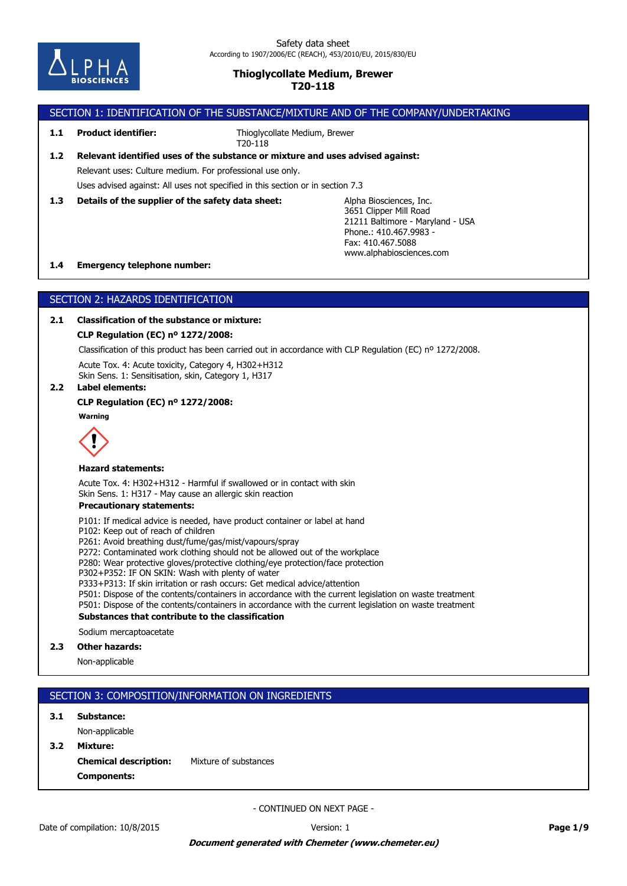

# SECTION 1: IDENTIFICATION OF THE SUBSTANCE/MIXTURE AND OF THE COMPANY/UNDERTAKING

**1.1 Product identifier:**

Thioglycollate Medium, Brewer T20-118

# Uses advised against: All uses not specified in this section or in section 7.3 Relevant uses: Culture medium. For professional use only. **1.2 Relevant identified uses of the substance or mixture and uses advised against:**

**1.3 Details of the supplier of the safety data sheet:**

Alpha Biosciences, Inc. 3651 Clipper Mill Road 21211 Baltimore - Maryland - USA Phone.: 410.467.9983 - Fax: 410.467.5088 www.alphabiosciences.com

### **1.4 Emergency telephone number:**

# SECTION 2: HAZARDS IDENTIFICATION

# **2.1 Classification of the substance or mixture:**

# **CLP Regulation (EC) nº 1272/2008:**

Classification of this product has been carried out in accordance with CLP Regulation (EC) nº 1272/2008.

Acute Tox. 4: Acute toxicity, Category 4, H302+H312 Skin Sens. 1: Sensitisation, skin, Category 1, H317

### **2.2 Label elements:**

# **CLP Regulation (EC) nº 1272/2008:**

**Warning**



### **Hazard statements:**

Acute Tox. 4: H302+H312 - Harmful if swallowed or in contact with skin Skin Sens. 1: H317 - May cause an allergic skin reaction

# **Precautionary statements:**

P101: If medical advice is needed, have product container or label at hand

P102: Keep out of reach of children

P261: Avoid breathing dust/fume/gas/mist/vapours/spray

P272: Contaminated work clothing should not be allowed out of the workplace

P280: Wear protective gloves/protective clothing/eye protection/face protection

P302+P352: IF ON SKIN: Wash with plenty of water

P333+P313: If skin irritation or rash occurs: Get medical advice/attention

P501: Dispose of the contents/containers in accordance with the current legislation on waste treatment

P501: Dispose of the contents/containers in accordance with the current legislation on waste treatment

#### **Substances that contribute to the classification**

Sodium mercaptoacetate

### **2.3 Other hazards:**

Non-applicable

# SECTION 3: COMPOSITION/INFORMATION ON INGREDIENTS

### **3.1 Substance:**

Non-applicable

**Components: Chemical description:** Mixture of substances **3.2 Mixture:**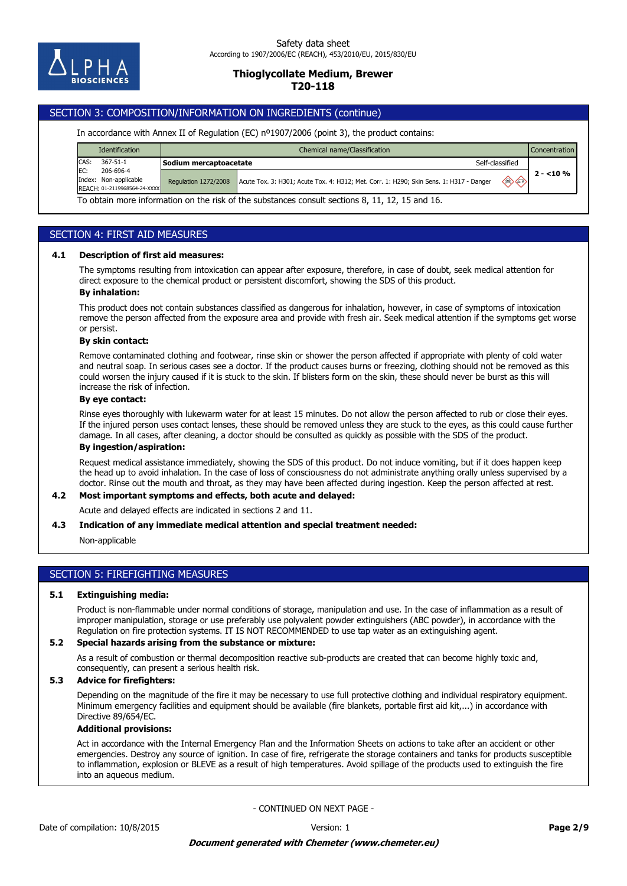

# SECTION 3: COMPOSITION/INFORMATION ON INGREDIENTS (continue)

#### In accordance with Annex II of Regulation (EC) nº1907/2006 (point 3), the product contains:

|                                                                                                 | <b>Identification</b>                                              | Chemical name/Classification<br><b>Concentration</b> |                                                                                               |            |  |
|-------------------------------------------------------------------------------------------------|--------------------------------------------------------------------|------------------------------------------------------|-----------------------------------------------------------------------------------------------|------------|--|
| CAS:                                                                                            | 367-51-1                                                           | Sodium mercaptoacetate                               | Self-classified                                                                               |            |  |
| IEC:                                                                                            | 206-696-4<br>Index: Non-applicable<br>REACH: 01-2119968564-24-XXXX | <b>Regulation 1272/2008</b>                          | ◈◇<br>Acute Tox. 3: H301; Acute Tox. 4: H312; Met. Corr. 1: H290; Skin Sens. 1: H317 - Danger | $2 - 10\%$ |  |
| To obtain more information on the risk of the substances consult sections 8, 11, 12, 15 and 16. |                                                                    |                                                      |                                                                                               |            |  |

# SECTION 4: FIRST AID MEASURES

#### **4.1 Description of first aid measures:**

The symptoms resulting from intoxication can appear after exposure, therefore, in case of doubt, seek medical attention for direct exposure to the chemical product or persistent discomfort, showing the SDS of this product.

#### **By inhalation:**

This product does not contain substances classified as dangerous for inhalation, however, in case of symptoms of intoxication remove the person affected from the exposure area and provide with fresh air. Seek medical attention if the symptoms get worse or persist.

#### **By skin contact:**

Remove contaminated clothing and footwear, rinse skin or shower the person affected if appropriate with plenty of cold water and neutral soap. In serious cases see a doctor. If the product causes burns or freezing, clothing should not be removed as this could worsen the injury caused if it is stuck to the skin. If blisters form on the skin, these should never be burst as this will increase the risk of infection.

### **By eye contact:**

Rinse eyes thoroughly with lukewarm water for at least 15 minutes. Do not allow the person affected to rub or close their eyes. If the injured person uses contact lenses, these should be removed unless they are stuck to the eyes, as this could cause further damage. In all cases, after cleaning, a doctor should be consulted as quickly as possible with the SDS of the product.

# **By ingestion/aspiration:**

Request medical assistance immediately, showing the SDS of this product. Do not induce vomiting, but if it does happen keep the head up to avoid inhalation. In the case of loss of consciousness do not administrate anything orally unless supervised by a doctor. Rinse out the mouth and throat, as they may have been affected during ingestion. Keep the person affected at rest.

# **4.2 Most important symptoms and effects, both acute and delayed:**

Acute and delayed effects are indicated in sections 2 and 11.

#### **4.3 Indication of any immediate medical attention and special treatment needed:**

Non-applicable

# SECTION 5: FIREFIGHTING MEASURES

#### **5.1 Extinguishing media:**

Product is non-flammable under normal conditions of storage, manipulation and use. In the case of inflammation as a result of improper manipulation, storage or use preferably use polyvalent powder extinguishers (ABC powder), in accordance with the Regulation on fire protection systems. IT IS NOT RECOMMENDED to use tap water as an extinguishing agent.

#### **5.2 Special hazards arising from the substance or mixture:**

As a result of combustion or thermal decomposition reactive sub-products are created that can become highly toxic and, consequently, can present a serious health risk.

## **5.3 Advice for firefighters:**

Depending on the magnitude of the fire it may be necessary to use full protective clothing and individual respiratory equipment. Minimum emergency facilities and equipment should be available (fire blankets, portable first aid kit,...) in accordance with Directive 89/654/EC.

#### **Additional provisions:**

Act in accordance with the Internal Emergency Plan and the Information Sheets on actions to take after an accident or other emergencies. Destroy any source of ignition. In case of fire, refrigerate the storage containers and tanks for products susceptible to inflammation, explosion or BLEVE as a result of high temperatures. Avoid spillage of the products used to extinguish the fire into an aqueous medium.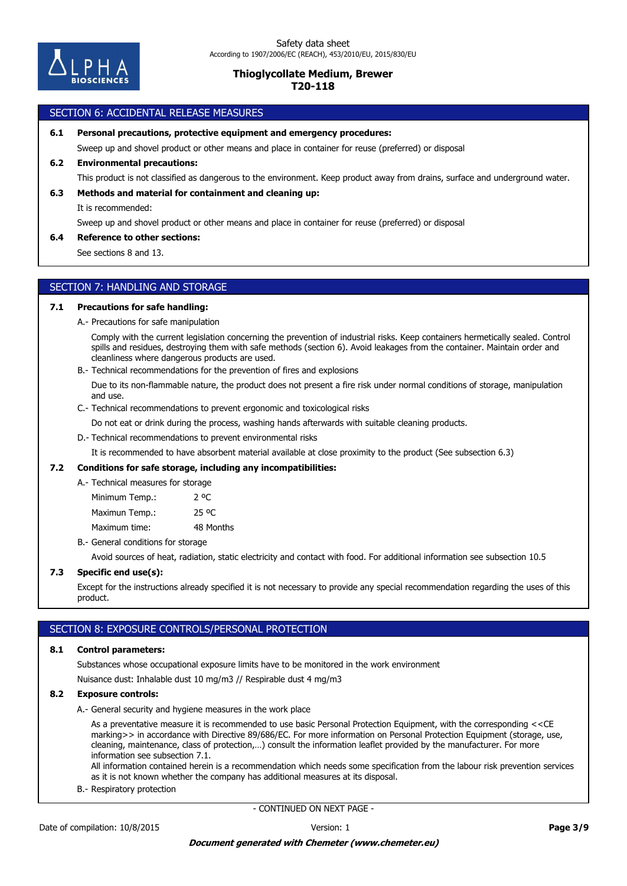

## SECTION 6: ACCIDENTAL RELEASE MEASURES

**6.1 Personal precautions, protective equipment and emergency procedures:**

Sweep up and shovel product or other means and place in container for reuse (preferred) or disposal

### **6.2 Environmental precautions:**

This product is not classified as dangerous to the environment. Keep product away from drains, surface and underground water.

#### **6.3 Methods and material for containment and cleaning up:**

It is recommended:

Sweep up and shovel product or other means and place in container for reuse (preferred) or disposal

## **6.4 Reference to other sections:**

See sections 8 and 13.

# SECTION 7: HANDLING AND STORAGE

#### **7.1 Precautions for safe handling:**

A.- Precautions for safe manipulation

Comply with the current legislation concerning the prevention of industrial risks. Keep containers hermetically sealed. Control spills and residues, destroying them with safe methods (section 6). Avoid leakages from the container. Maintain order and cleanliness where dangerous products are used.

B.- Technical recommendations for the prevention of fires and explosions

Due to its non-flammable nature, the product does not present a fire risk under normal conditions of storage, manipulation and use.

C.- Technical recommendations to prevent ergonomic and toxicological risks

Do not eat or drink during the process, washing hands afterwards with suitable cleaning products.

## D.- Technical recommendations to prevent environmental risks

It is recommended to have absorbent material available at close proximity to the product (See subsection 6.3)

#### **7.2 Conditions for safe storage, including any incompatibilities:**

A.- Technical measures for storage

Maximum time: 48 Months Maximun Temp.: 25 °C Minimum Temp.: 2 °C

B.- General conditions for storage

Avoid sources of heat, radiation, static electricity and contact with food. For additional information see subsection 10.5

## **7.3 Specific end use(s):**

Except for the instructions already specified it is not necessary to provide any special recommendation regarding the uses of this product.

### SECTION 8: EXPOSURE CONTROLS/PERSONAL PROTECTION

#### **8.1 Control parameters:**

Substances whose occupational exposure limits have to be monitored in the work environment

Nuisance dust: Inhalable dust 10 mg/m3 // Respirable dust 4 mg/m3

### **8.2 Exposure controls:**

A.- General security and hygiene measures in the work place

As a preventative measure it is recommended to use basic Personal Protection Equipment, with the corresponding <<CE marking>> in accordance with Directive 89/686/EC. For more information on Personal Protection Equipment (storage, use, cleaning, maintenance, class of protection,…) consult the information leaflet provided by the manufacturer. For more information see subsection 7.1.

All information contained herein is a recommendation which needs some specification from the labour risk prevention services as it is not known whether the company has additional measures at its disposal.

B.- Respiratory protection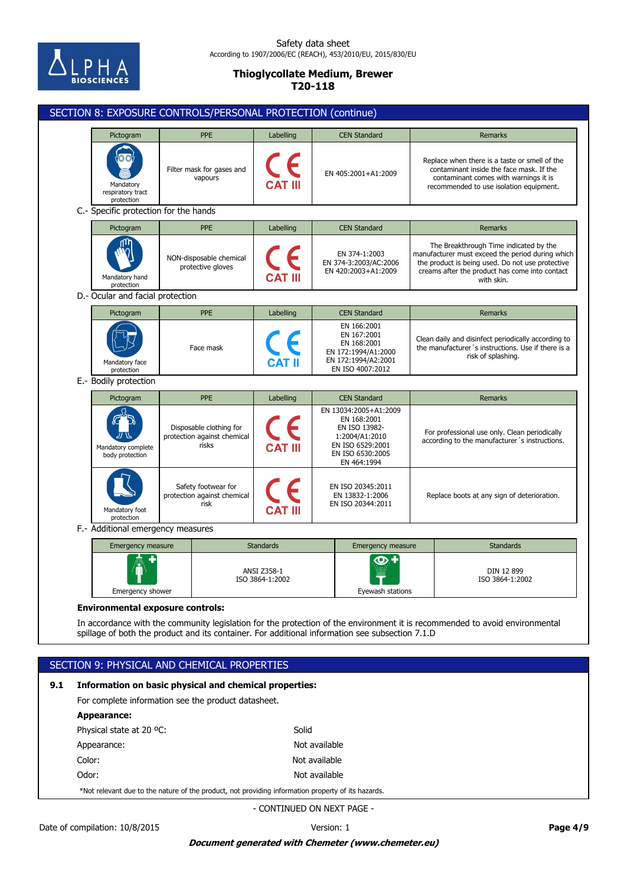

# Safety data sheet According to 1907/2006/EC (REACH), 453/2010/EU, 2015/830/EU

# **Thioglycollate Medium, Brewer T20-118**

|     | SECTION 8: EXPOSURE CONTROLS/PERSONAL PROTECTION (continue)                                                                                                                                                                                                               |                                                                                                    |                                       |                                                                                                                                |                  |                                                                                                                                                                                                                |  |
|-----|---------------------------------------------------------------------------------------------------------------------------------------------------------------------------------------------------------------------------------------------------------------------------|----------------------------------------------------------------------------------------------------|---------------------------------------|--------------------------------------------------------------------------------------------------------------------------------|------------------|----------------------------------------------------------------------------------------------------------------------------------------------------------------------------------------------------------------|--|
|     | Pictogram                                                                                                                                                                                                                                                                 | <b>PPE</b>                                                                                         | Labelling                             | <b>CEN Standard</b>                                                                                                            |                  | <b>Remarks</b>                                                                                                                                                                                                 |  |
|     | Mandatory<br>respiratory tract<br>protection                                                                                                                                                                                                                              | Filter mask for gases and<br>vapours                                                               |                                       | EN 405:2001+A1:2009                                                                                                            |                  | Replace when there is a taste or smell of the<br>contaminant inside the face mask. If the<br>contaminant comes with warnings it is<br>recommended to use isolation equipment.                                  |  |
|     | C.- Specific protection for the hands                                                                                                                                                                                                                                     |                                                                                                    |                                       |                                                                                                                                |                  |                                                                                                                                                                                                                |  |
|     | Pictogram                                                                                                                                                                                                                                                                 | <b>PPE</b>                                                                                         | Labelling                             | <b>CEN Standard</b>                                                                                                            |                  | <b>Remarks</b>                                                                                                                                                                                                 |  |
|     | Mandatory hand<br>protection                                                                                                                                                                                                                                              | NON-disposable chemical<br>protective gloves                                                       |                                       | EN 374-1:2003<br>EN 374-3:2003/AC:2006<br>EN 420:2003+A1:2009                                                                  |                  | The Breakthrough Time indicated by the<br>manufacturer must exceed the period during which<br>the product is being used. Do not use protective<br>creams after the product has come into contact<br>with skin. |  |
|     | D.- Ocular and facial protection                                                                                                                                                                                                                                          |                                                                                                    |                                       |                                                                                                                                |                  |                                                                                                                                                                                                                |  |
|     | Pictogram                                                                                                                                                                                                                                                                 | <b>PPE</b>                                                                                         | Labelling                             | <b>CEN Standard</b>                                                                                                            |                  | Remarks                                                                                                                                                                                                        |  |
|     | Mandatory face<br>protection                                                                                                                                                                                                                                              | Face mask                                                                                          |                                       | EN 166:2001<br>EN 167:2001<br>EN 168:2001<br>EN 172:1994/A1:2000<br>EN 172:1994/A2:2001<br>EN ISO 4007:2012                    |                  | Clean daily and disinfect periodically according to<br>the manufacturer's instructions. Use if there is a<br>risk of splashing.                                                                                |  |
|     | E.- Bodily protection                                                                                                                                                                                                                                                     |                                                                                                    |                                       |                                                                                                                                |                  |                                                                                                                                                                                                                |  |
|     | Pictogram                                                                                                                                                                                                                                                                 | <b>PPE</b>                                                                                         | Labelling                             | <b>CEN Standard</b>                                                                                                            |                  | Remarks                                                                                                                                                                                                        |  |
|     | Mandatory complete<br>body protection                                                                                                                                                                                                                                     | Disposable clothing for<br>protection against chemical<br>risks                                    | <b>CAT III</b>                        | EN 13034:2005+A1:2009<br>EN 168:2001<br>EN ISO 13982-<br>1:2004/A1:2010<br>EN ISO 6529:2001<br>EN ISO 6530:2005<br>EN 464:1994 |                  | For professional use only. Clean periodically<br>according to the manufacturer's instructions.                                                                                                                 |  |
|     | Mandatory foot<br>protection                                                                                                                                                                                                                                              | Safety footwear for<br>protection against chemical<br>risk                                         |                                       | EN ISO 20345:2011<br>EN 13832-1:2006<br>EN ISO 20344:2011                                                                      |                  | Replace boots at any sign of deterioration.                                                                                                                                                                    |  |
|     |                                                                                                                                                                                                                                                                           | F.- Additional emergency measures                                                                  |                                       |                                                                                                                                |                  |                                                                                                                                                                                                                |  |
|     | Emergency measure                                                                                                                                                                                                                                                         |                                                                                                    | <b>Standards</b>                      | Emergency measure                                                                                                              |                  | <b>Standards</b>                                                                                                                                                                                               |  |
|     | ш<br>Emergency shower                                                                                                                                                                                                                                                     |                                                                                                    | <b>ANSI Z358-1</b><br>ISO 3864-1:2002 |                                                                                                                                | Eyewash stations | DIN 12 899<br>ISO 3864-1:2002                                                                                                                                                                                  |  |
|     | <b>Environmental exposure controls:</b><br>In accordance with the community legislation for the protection of the environment it is recommended to avoid environmental<br>spillage of both the product and its container. For additional information see subsection 7.1.D |                                                                                                    |                                       |                                                                                                                                |                  |                                                                                                                                                                                                                |  |
|     | SECTION 9: PHYSICAL AND CHEMICAL PROPERTIES                                                                                                                                                                                                                               |                                                                                                    |                                       |                                                                                                                                |                  |                                                                                                                                                                                                                |  |
|     |                                                                                                                                                                                                                                                                           |                                                                                                    |                                       |                                                                                                                                |                  |                                                                                                                                                                                                                |  |
| 9.1 | Information on basic physical and chemical properties:                                                                                                                                                                                                                    |                                                                                                    |                                       |                                                                                                                                |                  |                                                                                                                                                                                                                |  |
|     | For complete information see the product datasheet.                                                                                                                                                                                                                       |                                                                                                    |                                       |                                                                                                                                |                  |                                                                                                                                                                                                                |  |
|     |                                                                                                                                                                                                                                                                           | Appearance:                                                                                        |                                       |                                                                                                                                |                  |                                                                                                                                                                                                                |  |
|     | Solid<br>Physical state at 20 °C:<br>Not available<br>Appearance:                                                                                                                                                                                                         |                                                                                                    |                                       |                                                                                                                                |                  |                                                                                                                                                                                                                |  |
|     | Color:<br>Not available                                                                                                                                                                                                                                                   |                                                                                                    |                                       |                                                                                                                                |                  |                                                                                                                                                                                                                |  |
|     | Odor:<br>Not available                                                                                                                                                                                                                                                    |                                                                                                    |                                       |                                                                                                                                |                  |                                                                                                                                                                                                                |  |
|     |                                                                                                                                                                                                                                                                           | *Not relevant due to the nature of the product, not providing information property of its hazards. |                                       |                                                                                                                                |                  |                                                                                                                                                                                                                |  |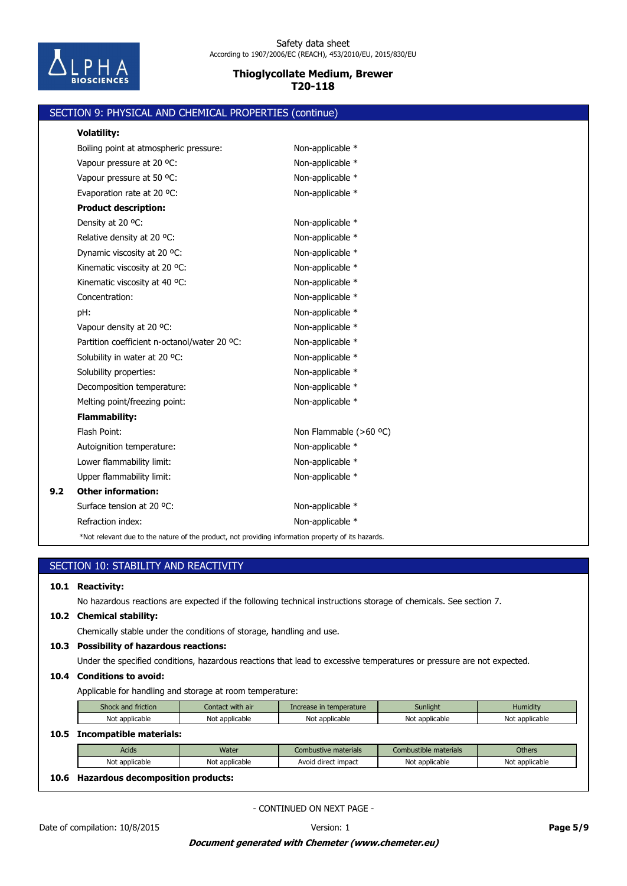

|     | SECTION 9: PHYSICAL AND CHEMICAL PROPERTIES (continue)                                             |                        |  |  |
|-----|----------------------------------------------------------------------------------------------------|------------------------|--|--|
|     | <b>Volatility:</b>                                                                                 |                        |  |  |
|     | Boiling point at atmospheric pressure:                                                             | Non-applicable *       |  |  |
|     | Vapour pressure at 20 °C:                                                                          | Non-applicable *       |  |  |
|     | Vapour pressure at 50 °C:                                                                          | Non-applicable *       |  |  |
|     | Evaporation rate at 20 °C:                                                                         | Non-applicable *       |  |  |
|     | <b>Product description:</b>                                                                        |                        |  |  |
|     | Density at 20 °C:                                                                                  | Non-applicable *       |  |  |
|     | Relative density at 20 °C:                                                                         | Non-applicable *       |  |  |
|     | Dynamic viscosity at 20 °C:                                                                        | Non-applicable *       |  |  |
|     | Kinematic viscosity at 20 °C:                                                                      | Non-applicable *       |  |  |
|     | Kinematic viscosity at 40 °C:                                                                      | Non-applicable *       |  |  |
|     | Concentration:                                                                                     | Non-applicable *       |  |  |
|     | pH:                                                                                                | Non-applicable *       |  |  |
|     | Vapour density at 20 °C:                                                                           | Non-applicable *       |  |  |
|     | Partition coefficient n-octanol/water 20 °C:                                                       | Non-applicable *       |  |  |
|     | Solubility in water at 20 °C:                                                                      | Non-applicable *       |  |  |
|     | Solubility properties:                                                                             | Non-applicable *       |  |  |
|     | Decomposition temperature:                                                                         | Non-applicable *       |  |  |
|     | Melting point/freezing point:                                                                      | Non-applicable *       |  |  |
|     | <b>Flammability:</b>                                                                               |                        |  |  |
|     | Flash Point:                                                                                       | Non Flammable (>60 °C) |  |  |
|     | Autoignition temperature:                                                                          | Non-applicable *       |  |  |
|     | Lower flammability limit:                                                                          | Non-applicable *       |  |  |
|     | Upper flammability limit:                                                                          | Non-applicable *       |  |  |
| 9.2 | <b>Other information:</b>                                                                          |                        |  |  |
|     | Surface tension at 20 °C:                                                                          | Non-applicable *       |  |  |
|     | Refraction index:                                                                                  | Non-applicable *       |  |  |
|     | *Not relevant due to the nature of the product, not providing information property of its hazards. |                        |  |  |

| SECTION 10: STABILITY AND REACTIVITY |                                                                                                                       |                  |                         |                       |                |  |
|--------------------------------------|-----------------------------------------------------------------------------------------------------------------------|------------------|-------------------------|-----------------------|----------------|--|
| 10.1                                 | <b>Reactivity:</b>                                                                                                    |                  |                         |                       |                |  |
|                                      | No hazardous reactions are expected if the following technical instructions storage of chemicals. See section 7.      |                  |                         |                       |                |  |
| 10.2                                 | <b>Chemical stability:</b>                                                                                            |                  |                         |                       |                |  |
|                                      | Chemically stable under the conditions of storage, handling and use.                                                  |                  |                         |                       |                |  |
| 10.3                                 | <b>Possibility of hazardous reactions:</b>                                                                            |                  |                         |                       |                |  |
|                                      | Under the specified conditions, hazardous reactions that lead to excessive temperatures or pressure are not expected. |                  |                         |                       |                |  |
| 10.4                                 | <b>Conditions to avoid:</b>                                                                                           |                  |                         |                       |                |  |
|                                      | Applicable for handling and storage at room temperature:                                                              |                  |                         |                       |                |  |
|                                      | Shock and friction                                                                                                    | Contact with air | Increase in temperature | Sunlight              | Humidity       |  |
|                                      | Not applicable                                                                                                        | Not applicable   | Not applicable          | Not applicable        | Not applicable |  |
| 10.5                                 | <b>Incompatible materials:</b>                                                                                        |                  |                         |                       |                |  |
|                                      | Acids                                                                                                                 | Water            | Combustive materials    | Combustible materials | <b>Others</b>  |  |
|                                      | Not applicable                                                                                                        | Not applicable   | Avoid direct impact     | Not applicable        | Not applicable |  |
| 10.6                                 | <b>Hazardous decomposition products:</b>                                                                              |                  |                         |                       |                |  |
| - CONTINUED ON NEXT PAGE -           |                                                                                                                       |                  |                         |                       |                |  |
| Date of compilation: 10/8/2015       |                                                                                                                       |                  | Version: 1              | Page 5/9              |                |  |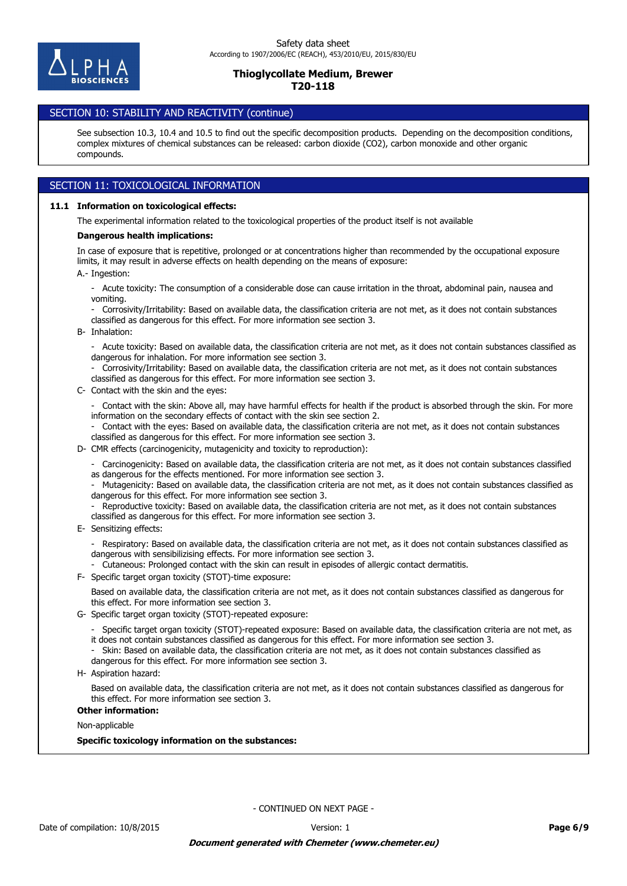

# SECTION 10: STABILITY AND REACTIVITY (continue)

See subsection 10.3, 10.4 and 10.5 to find out the specific decomposition products. Depending on the decomposition conditions, complex mixtures of chemical substances can be released: carbon dioxide (CO2), carbon monoxide and other organic compounds.

# SECTION 11: TOXICOLOGICAL INFORMATION

### **11.1 Information on toxicological effects:**

The experimental information related to the toxicological properties of the product itself is not available

#### **Dangerous health implications:**

A.- Ingestion: In case of exposure that is repetitive, prolonged or at concentrations higher than recommended by the occupational exposure limits, it may result in adverse effects on health depending on the means of exposure:

- Acute toxicity: The consumption of a considerable dose can cause irritation in the throat, abdominal pain, nausea and vomiting.
- Corrosivity/Irritability: Based on available data, the classification criteria are not met, as it does not contain substances classified as dangerous for this effect. For more information see section 3.
- B- Inhalation:

- Acute toxicity: Based on available data, the classification criteria are not met, as it does not contain substances classified as dangerous for inhalation. For more information see section 3.

- Corrosivity/Irritability: Based on available data, the classification criteria are not met, as it does not contain substances classified as dangerous for this effect. For more information see section 3.

C- Contact with the skin and the eyes:

- Contact with the skin: Above all, may have harmful effects for health if the product is absorbed through the skin. For more information on the secondary effects of contact with the skin see section 2.

- Contact with the eyes: Based on available data, the classification criteria are not met, as it does not contain substances classified as dangerous for this effect. For more information see section 3.

D- CMR effects (carcinogenicity, mutagenicity and toxicity to reproduction):

- Carcinogenicity: Based on available data, the classification criteria are not met, as it does not contain substances classified as dangerous for the effects mentioned. For more information see section 3.

- Mutagenicity: Based on available data, the classification criteria are not met, as it does not contain substances classified as dangerous for this effect. For more information see section 3.

Reproductive toxicity: Based on available data, the classification criteria are not met, as it does not contain substances classified as dangerous for this effect. For more information see section 3.

E- Sensitizing effects:

- Respiratory: Based on available data, the classification criteria are not met, as it does not contain substances classified as dangerous with sensibilizising effects. For more information see section 3.

- Cutaneous: Prolonged contact with the skin can result in episodes of allergic contact dermatitis.

F- Specific target organ toxicity (STOT)-time exposure:

Based on available data, the classification criteria are not met, as it does not contain substances classified as dangerous for this effect. For more information see section 3.

G- Specific target organ toxicity (STOT)-repeated exposure:

- Specific target organ toxicity (STOT)-repeated exposure: Based on available data, the classification criteria are not met, as it does not contain substances classified as dangerous for this effect. For more information see section 3.

- Skin: Based on available data, the classification criteria are not met, as it does not contain substances classified as dangerous for this effect. For more information see section 3.

- 
- H- Aspiration hazard:

Based on available data, the classification criteria are not met, as it does not contain substances classified as dangerous for this effect. For more information see section 3.

### **Other information:**

Non-applicable

**Specific toxicology information on the substances:**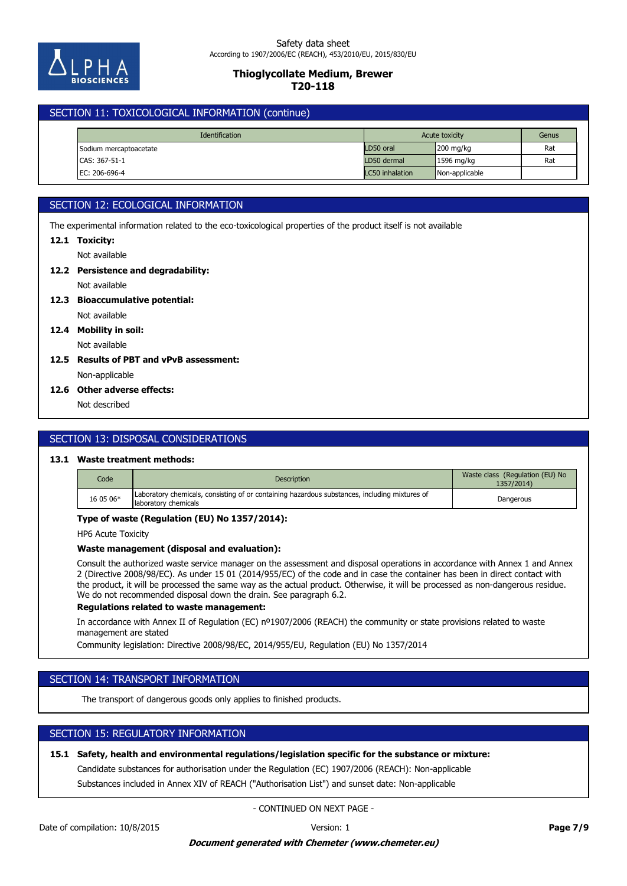

# SECTION 11: TOXICOLOGICAL INFORMATION (continue)

| <b>Identification</b>  | Acute toxicity  |                     | Genus |
|------------------------|-----------------|---------------------|-------|
| Sodium mercaptoacetate | LD50 oral       | $200 \text{ mg/kg}$ | Rat   |
| CAS: 367-51-1          | LD50 dermal     | 1596 mg/kg          | Rat   |
| EC: 206-696-4          | LC50 inhalation | Non-applicable      |       |

# SECTION 12: ECOLOGICAL INFORMATION

The experimental information related to the eco-toxicological properties of the product itself is not available

#### **12.1 Toxicity:**

Not available

# **12.2 Persistence and degradability:**

Not available

- **12.3 Bioaccumulative potential:**
	- Not available

**12.4 Mobility in soil:**

# Not available

Non-applicable **12.5 Results of PBT and vPvB assessment:**

### **12.6 Other adverse effects:**

Not described

# SECTION 13: DISPOSAL CONSIDERATIONS

# **13.1 Waste treatment methods:**

| Code      | Description                                                                                                           | Waste class (Regulation (EU) No<br>1357/2014) |
|-----------|-----------------------------------------------------------------------------------------------------------------------|-----------------------------------------------|
| 16 05 06* | Laboratory chemicals, consisting of or containing hazardous substances, including mixtures of<br>laboratory chemicals | Dangerous                                     |

### **Type of waste (Regulation (EU) No 1357/2014):**

HP6 Acute Toxicity

### **Waste management (disposal and evaluation):**

Consult the authorized waste service manager on the assessment and disposal operations in accordance with Annex 1 and Annex 2 (Directive 2008/98/EC). As under 15 01 (2014/955/EC) of the code and in case the container has been in direct contact with the product, it will be processed the same way as the actual product. Otherwise, it will be processed as non-dangerous residue. We do not recommended disposal down the drain. See paragraph 6.2.

### **Regulations related to waste management:**

In accordance with Annex II of Regulation (EC) nº1907/2006 (REACH) the community or state provisions related to waste management are stated

Community legislation: Directive 2008/98/EC, 2014/955/EU, Regulation (EU) No 1357/2014

# SECTION 14: TRANSPORT INFORMATION

The transport of dangerous goods only applies to finished products.

# SECTION 15: REGULATORY INFORMATION

# **15.1 Safety, health and environmental regulations/legislation specific for the substance or mixture:**

Candidate substances for authorisation under the Regulation (EC) 1907/2006 (REACH): Non-applicable

Substances included in Annex XIV of REACH ("Authorisation List") and sunset date: Non-applicable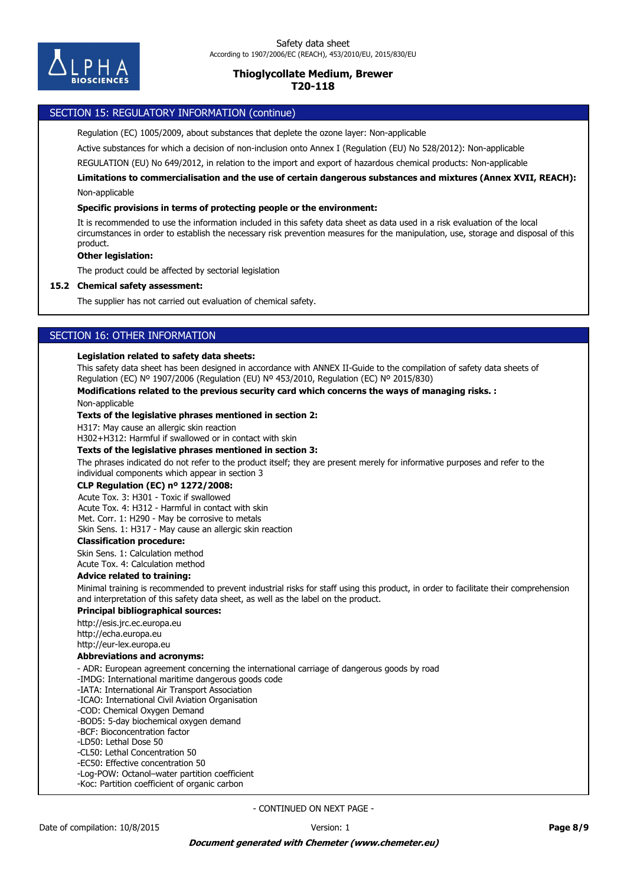

# SECTION 15: REGULATORY INFORMATION (continue)

Regulation (EC) 1005/2009, about substances that deplete the ozone layer: Non-applicable

Active substances for which a decision of non-inclusion onto Annex I (Regulation (EU) No 528/2012): Non-applicable

REGULATION (EU) No 649/2012, in relation to the import and export of hazardous chemical products: Non-applicable

Non-applicable **Limitations to commercialisation and the use of certain dangerous substances and mixtures (Annex XVII, REACH):**

### **Specific provisions in terms of protecting people or the environment:**

It is recommended to use the information included in this safety data sheet as data used in a risk evaluation of the local circumstances in order to establish the necessary risk prevention measures for the manipulation, use, storage and disposal of this product.

### **Other legislation:**

The product could be affected by sectorial legislation

#### **15.2 Chemical safety assessment:**

The supplier has not carried out evaluation of chemical safety.

# SECTION 16: OTHER INFORMATION

#### **Legislation related to safety data sheets:**

This safety data sheet has been designed in accordance with ANNEX II-Guide to the compilation of safety data sheets of Regulation (EC) Nº 1907/2006 (Regulation (EU) Nº 453/2010, Regulation (EC) Nº 2015/830)

### **Modifications related to the previous security card which concerns the ways of managing risks. :**

Non-applicable

#### **Texts of the legislative phrases mentioned in section 2:**

H317: May cause an allergic skin reaction

H302+H312: Harmful if swallowed or in contact with skin

## **Texts of the legislative phrases mentioned in section 3:**

The phrases indicated do not refer to the product itself; they are present merely for informative purposes and refer to the individual components which appear in section 3

### **CLP Regulation (EC) nº 1272/2008:**

Acute Tox. 3: H301 - Toxic if swallowed Acute Tox. 4: H312 - Harmful in contact with skin Met. Corr. 1: H290 - May be corrosive to metals Skin Sens. 1: H317 - May cause an allergic skin reaction

## **Classification procedure:**

Skin Sens. 1: Calculation method Acute Tox. 4: Calculation method

#### **Advice related to training:**

Minimal training is recommended to prevent industrial risks for staff using this product, in order to facilitate their comprehension and interpretation of this safety data sheet, as well as the label on the product.

#### **Principal bibliographical sources:**

http://esis.jrc.ec.europa.eu http://echa.europa.eu http://eur-lex.europa.eu

#### **Abbreviations and acronyms:**

- ADR: European agreement concerning the international carriage of dangerous goods by road

-IMDG: International maritime dangerous goods code

-IATA: International Air Transport Association

-ICAO: International Civil Aviation Organisation

-COD: Chemical Oxygen Demand

-BOD5: 5-day biochemical oxygen demand

-BCF: Bioconcentration factor

-LD50: Lethal Dose 50

-CL50: Lethal Concentration 50

-EC50: Effective concentration 50

-Log-POW: Octanol–water partition coefficient

-Koc: Partition coefficient of organic carbon